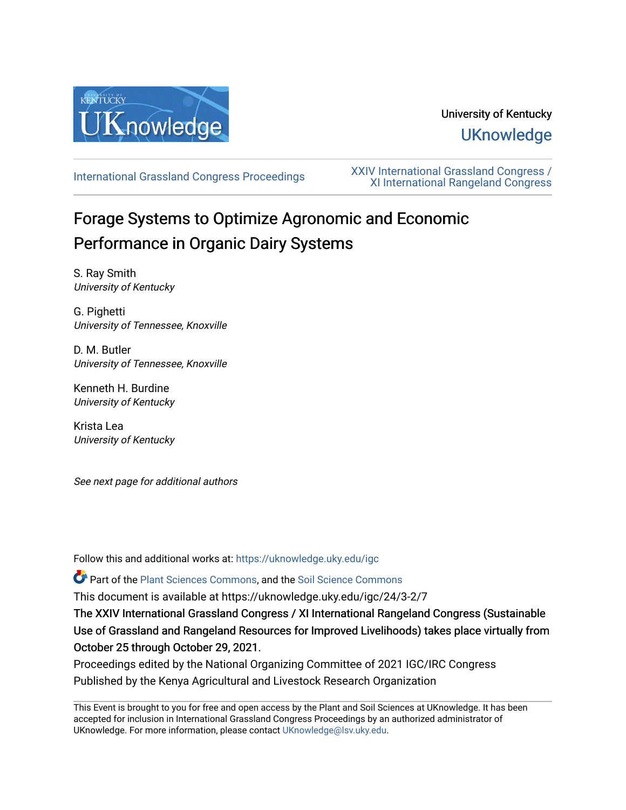

# University of Kentucky **UKnowledge**

[International Grassland Congress Proceedings](https://uknowledge.uky.edu/igc) [XXIV International Grassland Congress /](https://uknowledge.uky.edu/igc/24)  [XI International Rangeland Congress](https://uknowledge.uky.edu/igc/24) 

# Forage Systems to Optimize Agronomic and Economic Performance in Organic Dairy Systems

S. Ray Smith University of Kentucky

G. Pighetti University of Tennessee, Knoxville

D. M. Butler University of Tennessee, Knoxville

Kenneth H. Burdine University of Kentucky

Krista Lea University of Kentucky

See next page for additional authors

Follow this and additional works at: [https://uknowledge.uky.edu/igc](https://uknowledge.uky.edu/igc?utm_source=uknowledge.uky.edu%2Figc%2F24%2F3-2%2F7&utm_medium=PDF&utm_campaign=PDFCoverPages) 

Part of the [Plant Sciences Commons](http://network.bepress.com/hgg/discipline/102?utm_source=uknowledge.uky.edu%2Figc%2F24%2F3-2%2F7&utm_medium=PDF&utm_campaign=PDFCoverPages), and the [Soil Science Commons](http://network.bepress.com/hgg/discipline/163?utm_source=uknowledge.uky.edu%2Figc%2F24%2F3-2%2F7&utm_medium=PDF&utm_campaign=PDFCoverPages) 

This document is available at https://uknowledge.uky.edu/igc/24/3-2/7

The XXIV International Grassland Congress / XI International Rangeland Congress (Sustainable Use of Grassland and Rangeland Resources for Improved Livelihoods) takes place virtually from October 25 through October 29, 2021.

Proceedings edited by the National Organizing Committee of 2021 IGC/IRC Congress Published by the Kenya Agricultural and Livestock Research Organization

This Event is brought to you for free and open access by the Plant and Soil Sciences at UKnowledge. It has been accepted for inclusion in International Grassland Congress Proceedings by an authorized administrator of UKnowledge. For more information, please contact [UKnowledge@lsv.uky.edu](mailto:UKnowledge@lsv.uky.edu).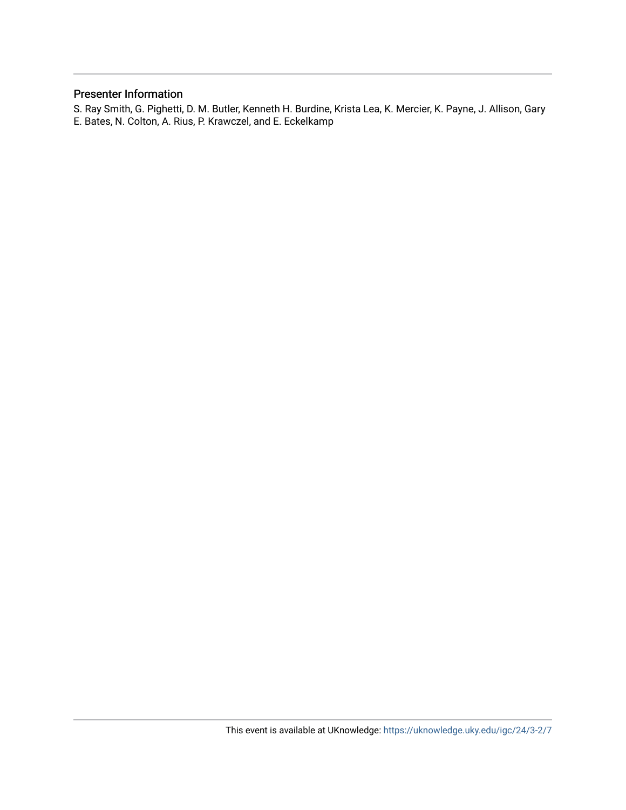# Presenter Information

S. Ray Smith, G. Pighetti, D. M. Butler, Kenneth H. Burdine, Krista Lea, K. Mercier, K. Payne, J. Allison, Gary E. Bates, N. Colton, A. Rius, P. Krawczel, and E. Eckelkamp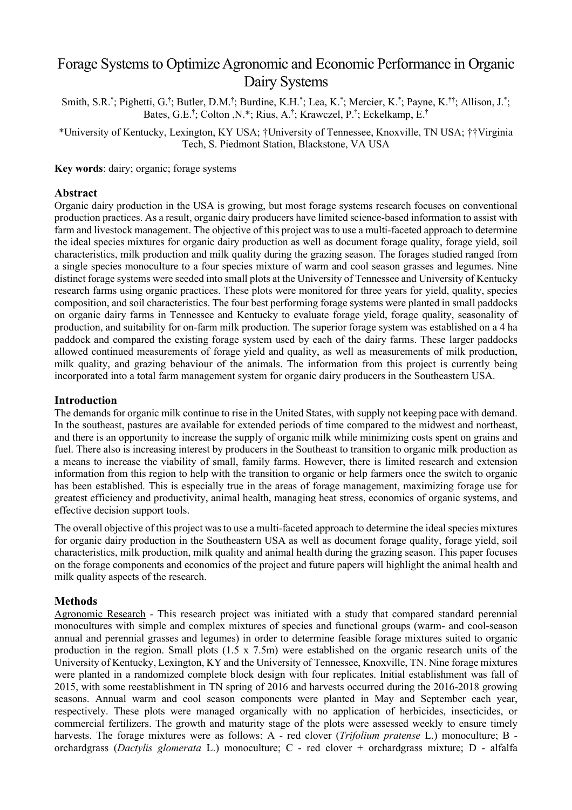# Forage Systems to Optimize Agronomic and Economic Performance in Organic Dairy Systems

Smith, S.R.\*; Pighetti, G.†; Butler, D.M.†; Burdine, K.H.\*; Lea, K.\*; Mercier, K.\*; Payne, K.<sup>††</sup>; Allison, J.\*; Bates, G.E.† ; Colton ,N.\*; Rius, A.† ; Krawczel, P.† ; Eckelkamp, E.†

\*University of Kentucky, Lexington, KY USA; †University of Tennessee, Knoxville, TN USA; ††Virginia Tech, S. Piedmont Station, Blackstone, VA USA

**Key words**: dairy; organic; forage systems

#### **Abstract**

Organic dairy production in the USA is growing, but most forage systems research focuses on conventional production practices. As a result, organic dairy producers have limited science-based information to assist with farm and livestock management. The objective of this project was to use a multi-faceted approach to determine the ideal species mixtures for organic dairy production as well as document forage quality, forage yield, soil characteristics, milk production and milk quality during the grazing season. The forages studied ranged from a single species monoculture to a four species mixture of warm and cool season grasses and legumes. Nine distinct forage systems were seeded into small plots at the University of Tennessee and University of Kentucky research farms using organic practices. These plots were monitored for three years for yield, quality, species composition, and soil characteristics. The four best performing forage systems were planted in small paddocks on organic dairy farms in Tennessee and Kentucky to evaluate forage yield, forage quality, seasonality of production, and suitability for on-farm milk production. The superior forage system was established on a 4 ha paddock and compared the existing forage system used by each of the dairy farms. These larger paddocks allowed continued measurements of forage yield and quality, as well as measurements of milk production, milk quality, and grazing behaviour of the animals. The information from this project is currently being incorporated into a total farm management system for organic dairy producers in the Southeastern USA.

## **Introduction**

The demands for organic milk continue to rise in the United States, with supply not keeping pace with demand. In the southeast, pastures are available for extended periods of time compared to the midwest and northeast, and there is an opportunity to increase the supply of organic milk while minimizing costs spent on grains and fuel. There also is increasing interest by producers in the Southeast to transition to organic milk production as a means to increase the viability of small, family farms. However, there is limited research and extension information from this region to help with the transition to organic or help farmers once the switch to organic has been established. This is especially true in the areas of forage management, maximizing forage use for greatest efficiency and productivity, animal health, managing heat stress, economics of organic systems, and effective decision support tools.

The overall objective of this project was to use a multi-faceted approach to determine the ideal species mixtures for organic dairy production in the Southeastern USA as well as document forage quality, forage yield, soil characteristics, milk production, milk quality and animal health during the grazing season. This paper focuses on the forage components and economics of the project and future papers will highlight the animal health and milk quality aspects of the research.

# **Methods**

Agronomic Research - This research project was initiated with a study that compared standard perennial monocultures with simple and complex mixtures of species and functional groups (warm- and cool-season annual and perennial grasses and legumes) in order to determine feasible forage mixtures suited to organic production in the region. Small plots (1.5 x 7.5m) were established on the organic research units of the University of Kentucky, Lexington, KY and the University of Tennessee, Knoxville, TN. Nine forage mixtures were planted in a randomized complete block design with four replicates. Initial establishment was fall of 2015, with some reestablishment in TN spring of 2016 and harvests occurred during the 2016-2018 growing seasons. Annual warm and cool season components were planted in May and September each year, respectively. These plots were managed organically with no application of herbicides, insecticides, or commercial fertilizers. The growth and maturity stage of the plots were assessed weekly to ensure timely harvests. The forage mixtures were as follows: A - red clover (*Trifolium pratense* L.) monoculture; B orchardgrass (*Dactylis glomerata* L.) monoculture; C - red clover + orchardgrass mixture; D - alfalfa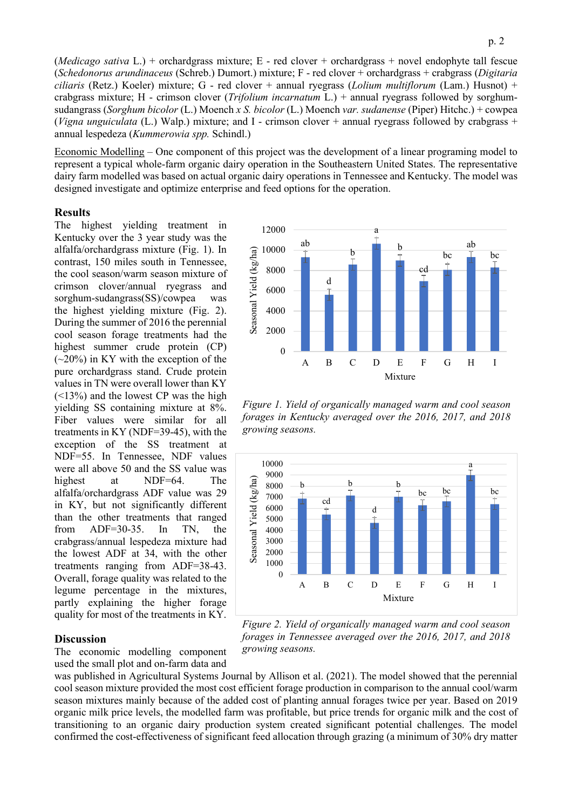(*Medicago sativa* L.) + orchardgrass mixture; E - red clover + orchardgrass + novel endophyte tall fescue (*Schedonorus arundinaceus* (Schreb.) Dumort.) mixture; F - red clover + orchardgrass + crabgrass (*Digitaria ciliaris* (Retz.) Koeler) mixture; G - red clover + annual ryegrass (*Lolium multiflorum* (Lam.) Husnot) + crabgrass mixture; H - crimson clover (*Trifolium incarnatum* L.) + annual ryegrass followed by sorghumsudangrass (*Sorghum bicolor* (L.) Moench *x S. bicolor* (L.) Moench *var. sudanense* (Piper) Hitchc.) + cowpea (*Vigna unguiculata* (L.) Walp.) mixture; and I - crimson clover + annual ryegrass followed by crabgrass + annual lespedeza (*Kummerowia spp.* Schindl.)

Economic Modelling – One component of this project was the development of a linear programing model to represent a typical whole-farm organic dairy operation in the Southeastern United States. The representative dairy farm modelled was based on actual organic dairy operations in Tennessee and Kentucky. The model was designed investigate and optimize enterprise and feed options for the operation.

#### **Results**

The highest yielding treatment in Kentucky over the 3 year study was the alfalfa/orchardgrass mixture (Fig. 1). In contrast, 150 miles south in Tennessee, the cool season/warm season mixture of crimson clover/annual ryegrass and sorghum-sudangrass(SS)/cowpea was the highest yielding mixture (Fig. 2). During the summer of 2016 the perennial cool season forage treatments had the highest summer crude protein (CP)  $(-20\%)$  in KY with the exception of the pure orchardgrass stand. Crude protein values in TN were overall lower than KY (<13%) and the lowest CP was the high yielding SS containing mixture at 8%. Fiber values were similar for all treatments in KY (NDF=39-45), with the exception of the SS treatment at NDF=55. In Tennessee, NDF values were all above 50 and the SS value was highest at NDF=64. The alfalfa/orchardgrass ADF value was 29 in KY, but not significantly different than the other treatments that ranged from ADF=30-35. In TN, the crabgrass/annual lespedeza mixture had the lowest ADF at 34, with the other treatments ranging from ADF=38-43. Overall, forage quality was related to the legume percentage in the mixtures, partly explaining the higher forage quality for most of the treatments in KY.

#### **Discussion**

The economic modelling component used the small plot and on-farm data and



*Figure 1. Yield of organically managed warm and cool season forages in Kentucky averaged over the 2016, 2017, and 2018 growing seasons.*



*Figure 2. Yield of organically managed warm and cool season forages in Tennessee averaged over the 2016, 2017, and 2018 growing seasons.*

was published in Agricultural Systems Journal by Allison et al. (2021). The model showed that the perennial cool season mixture provided the most cost efficient forage production in comparison to the annual cool/warm season mixtures mainly because of the added cost of planting annual forages twice per year. Based on 2019 organic milk price levels, the modelled farm was profitable, but price trends for organic milk and the cost of transitioning to an organic dairy production system created significant potential challenges. The model confirmed the cost-effectiveness of significant feed allocation through grazing (a minimum of 30% dry matter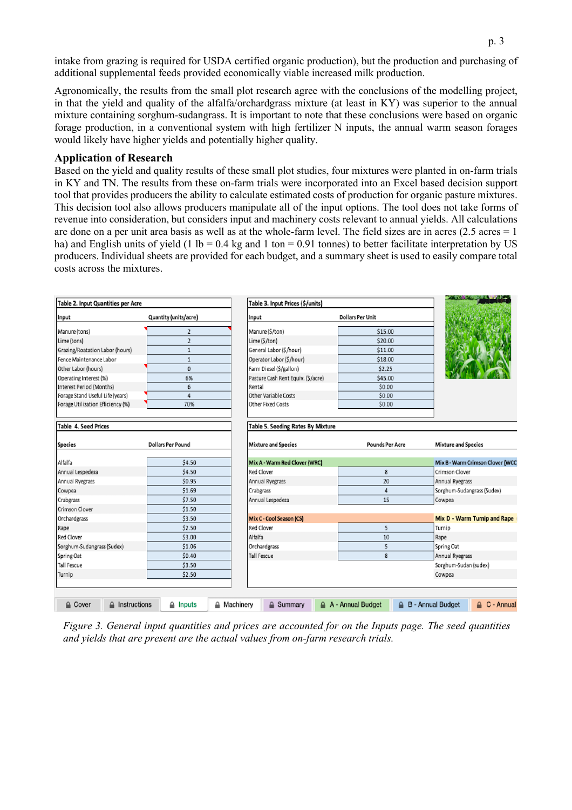intake from grazing is required for USDA certified organic production), but the production and purchasing of additional supplemental feeds provided economically viable increased milk production.

Agronomically, the results from the small plot research agree with the conclusions of the modelling project, in that the yield and quality of the alfalfa/orchardgrass mixture (at least in KY) was superior to the annual mixture containing sorghum-sudangrass. It is important to note that these conclusions were based on organic forage production, in a conventional system with high fertilizer N inputs, the annual warm season forages would likely have higher yields and potentially higher quality.

## **Application of Research**

Based on the yield and quality results of these small plot studies, four mixtures were planted in on-farm trials in KY and TN. The results from these on-farm trials were incorporated into an Excel based decision support tool that provides producers the ability to calculate estimated costs of production for organic pasture mixtures. This decision tool also allows producers manipulate all of the input options. The tool does not take forms of revenue into consideration, but considers input and machinery costs relevant to annual yields. All calculations are done on a per unit area basis as well as at the whole-farm level. The field sizes are in acres  $(2.5 \text{ acres} = 1$ ha) and English units of yield (1 lb =  $0.4$  kg and 1 ton =  $0.91$  tonnes) to better facilitate interpretation by US producers. Individual sheets are provided for each budget, and a summary sheet is used to easily compare total costs across the mixtures.

| Table 2. Input Quantities per Acre |                          |                    | Table 3. Input Prices (\$/units)                                |    |                         |                              |                                   |                     |
|------------------------------------|--------------------------|--------------------|-----------------------------------------------------------------|----|-------------------------|------------------------------|-----------------------------------|---------------------|
| Input                              | Quantity (units/acre)    |                    | Input                                                           |    | <b>Dollars Per Unit</b> |                              |                                   |                     |
| Manure (tons)                      | $\overline{2}$           |                    | Manure (\$/ton)                                                 |    | \$15.00                 |                              |                                   |                     |
| Lime (tons)                        | $\overline{2}$           |                    | Lime (\$/ton)                                                   |    | \$20.00                 |                              |                                   |                     |
| Grazing/Roatation Labor (hours)    | 1                        |                    | General Labor (\$/hour)                                         |    | \$11.00                 |                              |                                   |                     |
| Fence Maintenance Labor            | 1                        |                    | Operator Labor (\$/hour)                                        |    | \$18.00                 |                              |                                   |                     |
| Other Labor (hours)                | $\mathbf{0}$             |                    | Farm Diesel (\$/gallon)                                         |    | \$2.25                  |                              |                                   |                     |
| Operating Interest (%)             | 6%                       |                    | Pasture Cash Rent Equiv. (\$/acre)                              |    | \$45.00                 |                              |                                   |                     |
| Interest Period (Months)           | 6                        | Rental             |                                                                 |    | \$0.00                  |                              |                                   |                     |
| Forage Stand Useful Life (years)   | 4                        |                    | Other Variable Costs                                            |    | \$0.00                  |                              |                                   |                     |
| Forage Utilization Efficiency (%)  | 70%                      |                    | Other Fixed Costs                                               |    | \$0.00                  |                              |                                   |                     |
| Table 4. Seed Prices<br>Species    | <b>Dollars Per Pound</b> |                    | Table 5. Seeding Rates By Mixture<br><b>Mixture and Species</b> |    | <b>Pounds Per Acre</b>  |                              | <b>Mixture and Species</b>        |                     |
|                                    |                          |                    |                                                                 |    |                         |                              |                                   |                     |
| Alfalfa                            | \$4.50                   |                    | Mix A - Warm Red Clover (WRC)                                   |    |                         |                              | Mix B - Warm Crimson Clover (WCC) |                     |
| Annual Lespedeza                   | \$4.50                   |                    | <b>Red Clover</b>                                               |    | 8                       |                              | Crimson Clover                    |                     |
| Annual Ryegrass                    | \$0.95                   |                    | Annual Ryegrass                                                 | 20 |                         | Annual Ryegrass              |                                   |                     |
| \$1.69<br>Cowpea                   |                          |                    | Crabgrass                                                       | 4  |                         | Sorghum-Sudangrass (Sudex)   |                                   |                     |
| \$7.50<br>Crabgrass                |                          |                    | Annual Lespedeza                                                |    | 15                      |                              | Cowpea                            |                     |
| Crimson Clover                     | \$1.50                   |                    |                                                                 |    |                         |                              |                                   |                     |
| Orchardgrass                       | \$3.50                   |                    | Mix C - Cool Season (CS)                                        |    |                         | Mix D - Warm Turnip and Rape |                                   |                     |
| Rape                               | \$2.50                   |                    | <b>Red Clover</b>                                               |    | 5                       |                              | Turnip                            |                     |
| Red Clover                         | \$3.00                   |                    | Alfalfa                                                         |    | 10                      |                              | Rape                              |                     |
| Sorghum-Sudangrass (Sudex)         | \$1.06                   |                    | Orchardgrass                                                    |    | 5                       |                              | Spring Oat                        |                     |
| Spring Oat                         | \$0.40                   |                    | Tall Fescue                                                     |    | 8                       |                              | Annual Ryegrass                   |                     |
| <b>Tall Fescue</b><br>\$3.50       |                          |                    |                                                                 |    |                         |                              | Sorghum-Sudan (sudex)             |                     |
| \$2.50<br>Turnip                   |                          |                    |                                                                 |    |                         |                              | Cowpea                            |                     |
|                                    |                          |                    |                                                                 |    |                         |                              |                                   |                     |
| A Instructions<br>A Cover          | $\triangle$ Inputs       | <b>△</b> Machinery | A Summary                                                       |    | A - Annual Budget       | B                            | - Annual Budget                   | <b>A</b> C - Annual |

*Figure 3. General input quantities and prices are accounted for on the Inputs page. The seed quantities and yields that are present are the actual values from on-farm research trials.*